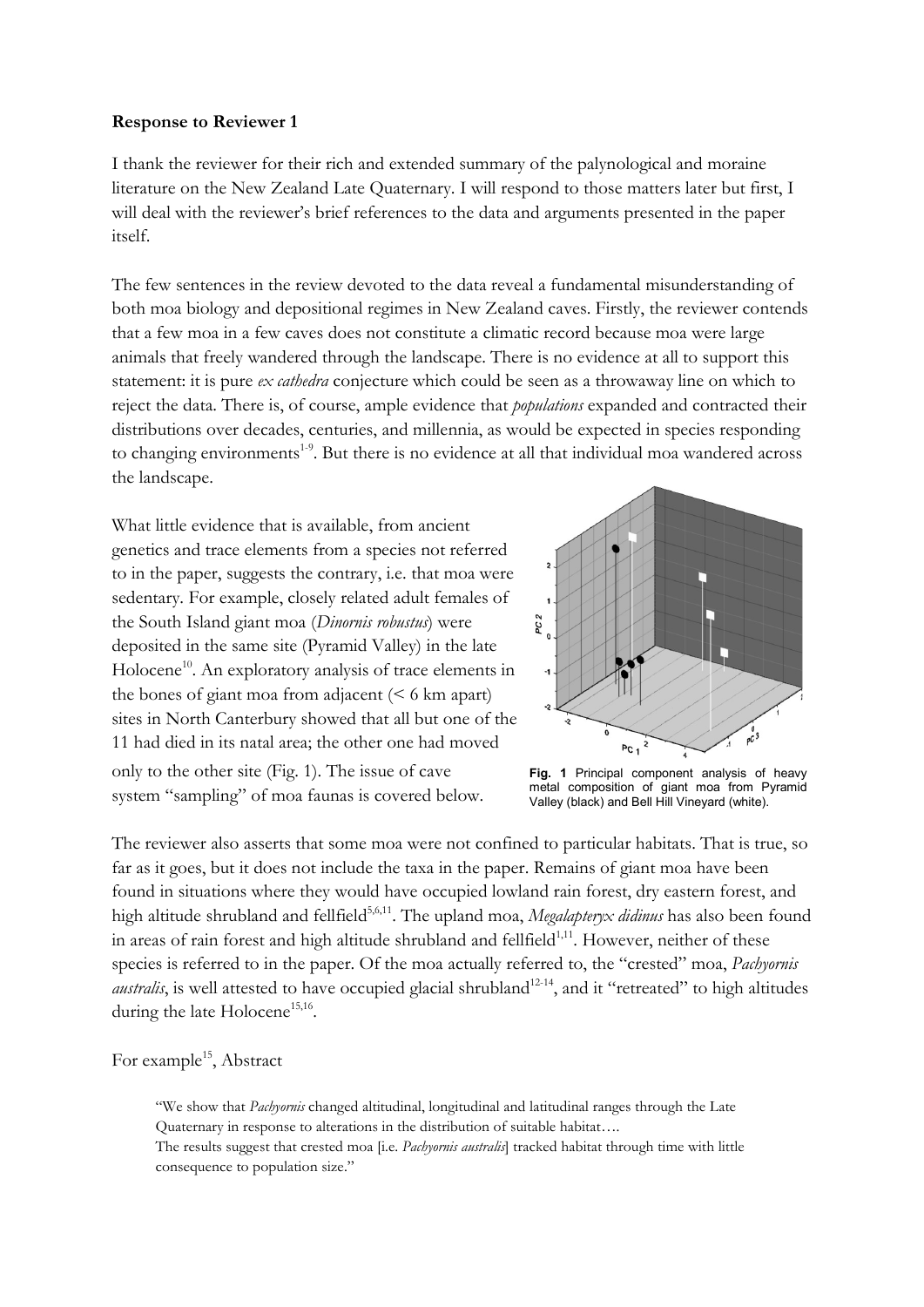### Response to Reviewer 1

I thank the reviewer for their rich and extended summary of the palynological and moraine literature on the New Zealand Late Quaternary. I will respond to those matters later but first, I will deal with the reviewer's brief references to the data and arguments presented in the paper itself.

The few sentences in the review devoted to the data reveal a fundamental misunderstanding of both moa biology and depositional regimes in New Zealand caves. Firstly, the reviewer contends that a few moa in a few caves does not constitute a climatic record because moa were large animals that freely wandered through the landscape. There is no evidence at all to support this statement: it is pure *ex cathedra* conjecture which could be seen as a throwaway line on which to reject the data. There is, of course, ample evidence that populations expanded and contracted their distributions over decades, centuries, and millennia, as would be expected in species responding to changing environments<sup>1-9</sup>. But there is no evidence at all that individual moa wandered across the landscape.

What little evidence that is available, from ancient genetics and trace elements from a species not referred to in the paper, suggests the contrary, i.e. that moa were sedentary. For example, closely related adult females of the South Island giant moa (Dinornis robustus) were deposited in the same site (Pyramid Valley) in the late Holocene<sup>10</sup>. An exploratory analysis of trace elements in the bones of giant moa from adjacent  $(< 6 \text{ km apart})$ sites in North Canterbury showed that all but one of the 11 had died in its natal area; the other one had moved only to the other site (Fig. 1). The issue of cave system "sampling" of moa faunas is covered below.



Fig. 1 Principal component analysis of heavy metal composition of giant moa from Pyramid Valley (black) and Bell Hill Vineyard (white).

The reviewer also asserts that some moa were not confined to particular habitats. That is true, so far as it goes, but it does not include the taxa in the paper. Remains of giant moa have been found in situations where they would have occupied lowland rain forest, dry eastern forest, and high altitude shrubland and fellfield<sup>5,6,11</sup>. The upland moa, Megalapteryx didinus has also been found in areas of rain forest and high altitude shrubland and fellfield $1,11$ . However, neither of these species is referred to in the paper. Of the moa actually referred to, the "crested" moa, Pachyornis *australis*, is well attested to have occupied glacial shrubland<sup>12-14</sup>, and it "retreated" to high altitudes during the late  $Holocene<sup>15,16</sup>$ .

For example<sup>15</sup>, Abstract

"We show that Pachyornis changed altitudinal, longitudinal and latitudinal ranges through the Late Quaternary in response to alterations in the distribution of suitable habitat….

The results suggest that crested moa [i.e. *Pachyornis australis*] tracked habitat through time with little consequence to population size."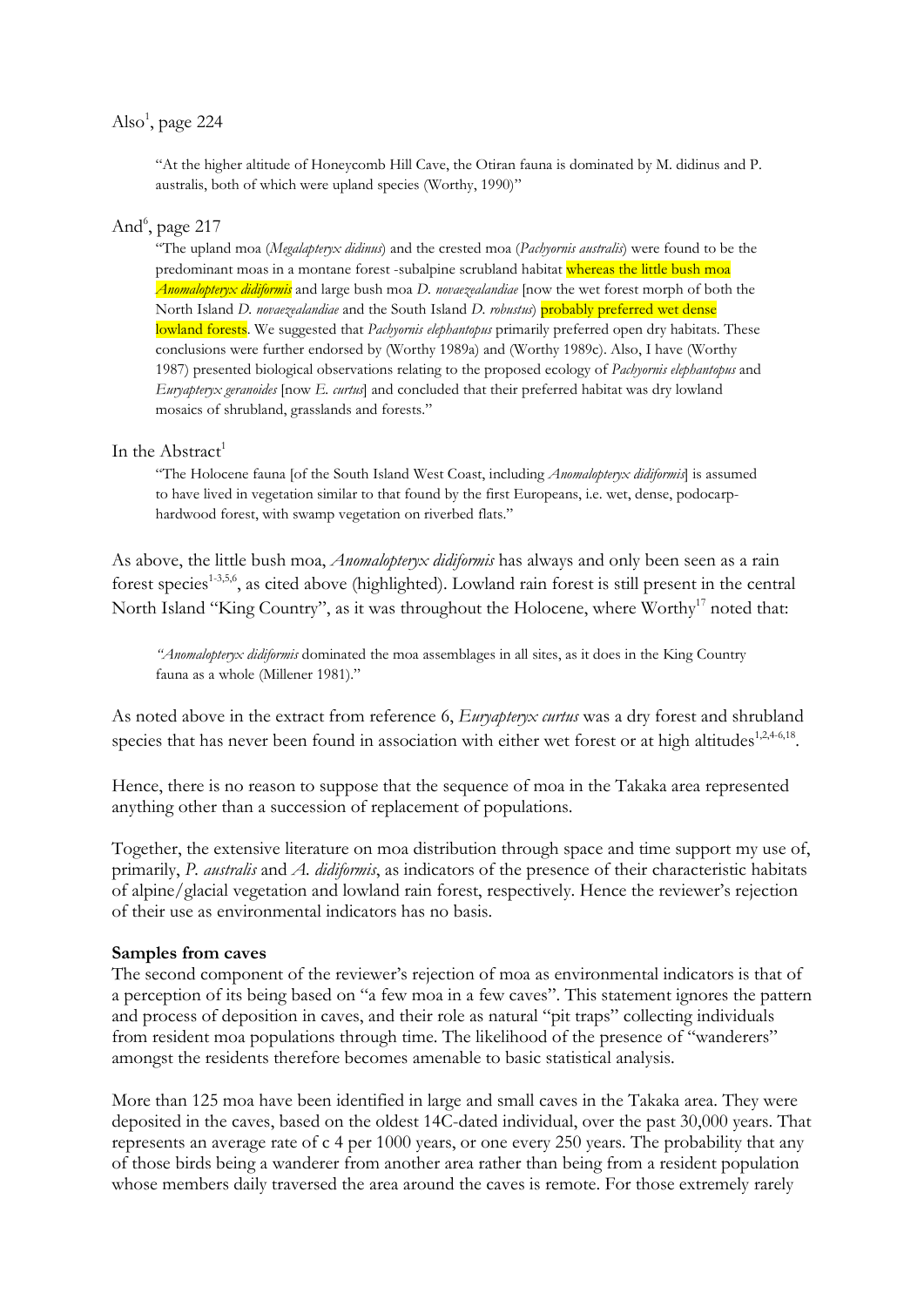# Also<sup>1</sup>, page 224

"At the higher altitude of Honeycomb Hill Cave, the Otiran fauna is dominated by M. didinus and P. australis, both of which were upland species (Worthy, 1990)"

# And<sup>6</sup>, page 217

"The upland moa (Megalapteryx didinus) and the crested moa (Pachyornis australis) were found to be the predominant moas in a montane forest -subalpine scrubland habitat whereas the little bush moa Anomalopteryx didiformis and large bush moa D. novaezealandiae [now the wet forest morph of both the North Island D. novaezealandiae and the South Island D. robustus) probably preferred wet dense lowland forests. We suggested that Pachyornis elephantopus primarily preferred open dry habitats. These conclusions were further endorsed by (Worthy 1989a) and (Worthy 1989c). Also, I have (Worthy 1987) presented biological observations relating to the proposed ecology of Pachyornis elephantopus and Euryapteryx geranoides [now E. curtus] and concluded that their preferred habitat was dry lowland mosaics of shrubland, grasslands and forests."

### In the Abstract<sup>1</sup>

"The Holocene fauna [of the South Island West Coast, including Anomalopteryx didiformis] is assumed to have lived in vegetation similar to that found by the first Europeans, i.e. wet, dense, podocarphardwood forest, with swamp vegetation on riverbed flats."

As above, the little bush moa, *Anomalopteryx didiformis* has always and only been seen as a rain forest species<sup>1-3,5,6</sup>, as cited above (highlighted). Lowland rain forest is still present in the central North Island "King Country", as it was throughout the Holocene, where Worthy<sup>17</sup> noted that:

"Anomalopteryx didiformis dominated the moa assemblages in all sites, as it does in the King Country fauna as a whole (Millener 1981)."

As noted above in the extract from reference 6, Euryapteryx curtus was a dry forest and shrubland species that has never been found in association with either wet forest or at high altitudes<sup>1,2,4-6,18</sup>.

Hence, there is no reason to suppose that the sequence of moa in the Takaka area represented anything other than a succession of replacement of populations.

Together, the extensive literature on moa distribution through space and time support my use of, primarily, P. australis and A. didiformis, as indicators of the presence of their characteristic habitats of alpine/glacial vegetation and lowland rain forest, respectively. Hence the reviewer's rejection of their use as environmental indicators has no basis.

#### Samples from caves

The second component of the reviewer's rejection of moa as environmental indicators is that of a perception of its being based on "a few moa in a few caves". This statement ignores the pattern and process of deposition in caves, and their role as natural "pit traps" collecting individuals from resident moa populations through time. The likelihood of the presence of "wanderers" amongst the residents therefore becomes amenable to basic statistical analysis.

More than 125 moa have been identified in large and small caves in the Takaka area. They were deposited in the caves, based on the oldest 14C-dated individual, over the past 30,000 years. That represents an average rate of c 4 per 1000 years, or one every 250 years. The probability that any of those birds being a wanderer from another area rather than being from a resident population whose members daily traversed the area around the caves is remote. For those extremely rarely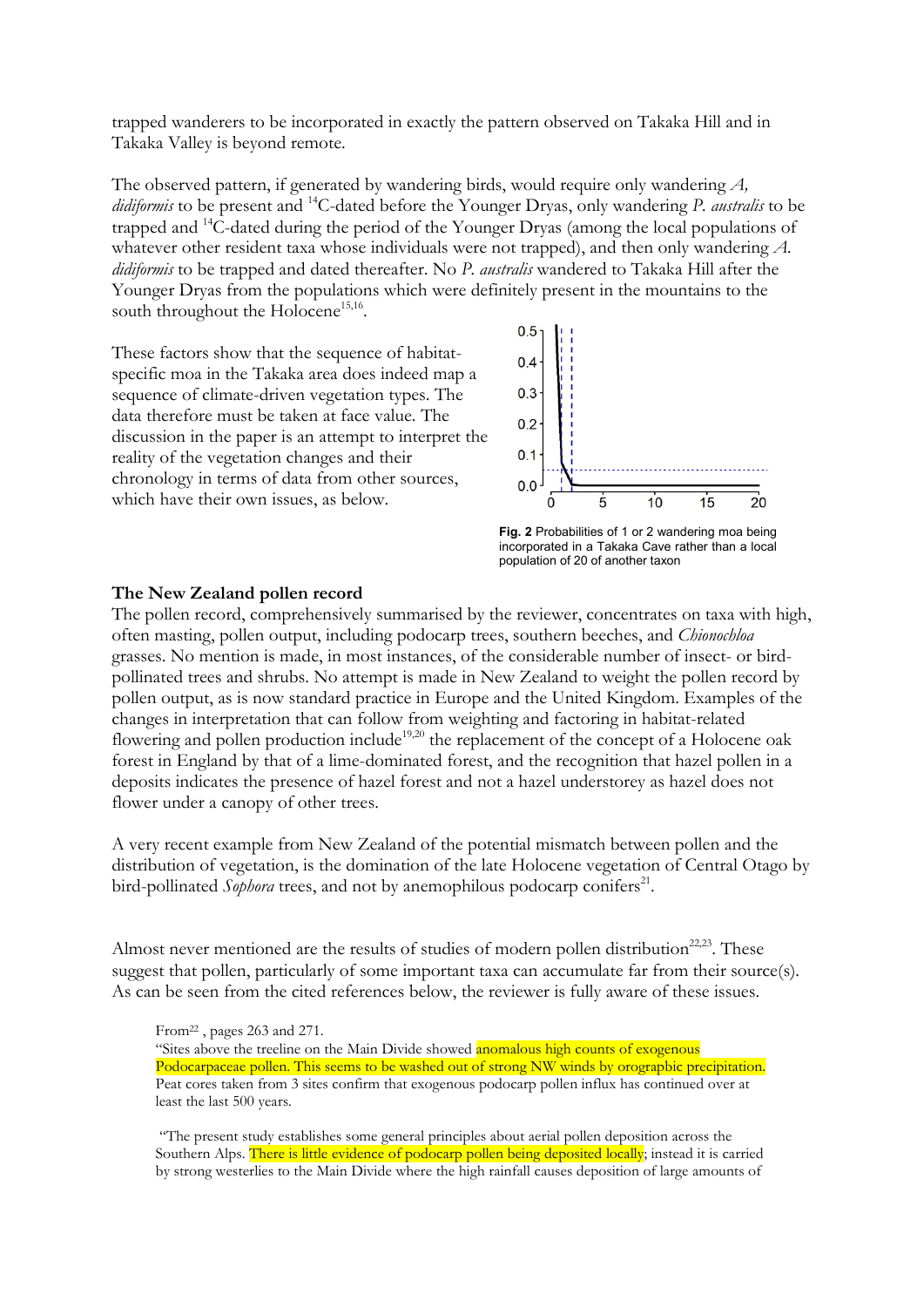trapped wanderers to be incorporated in exactly the pattern observed on Takaka Hill and in Takaka Valley is beyond remote.

The observed pattern, if generated by wandering birds, would require only wandering A, didiformis to be present and <sup>14</sup>C-dated before the Younger Dryas, only wandering P. australis to be trapped and <sup>14</sup>C-dated during the period of the Younger Dryas (among the local populations of whatever other resident taxa whose individuals were not trapped), and then only wandering A. didiformis to be trapped and dated thereafter. No P. australis wandered to Takaka Hill after the Younger Dryas from the populations which were definitely present in the mountains to the south throughout the Holocene<sup>15,16</sup>.

These factors show that the sequence of habitatspecific moa in the Takaka area does indeed map a sequence of climate-driven vegetation types. The data therefore must be taken at face value. The discussion in the paper is an attempt to interpret the reality of the vegetation changes and their chronology in terms of data from other sources, which have their own issues, as below.



Fig. 2 Probabilities of 1 or 2 wandering moa being incorporated in a Takaka Cave rather than a local population of 20 of another taxon

### The New Zealand pollen record

The pollen record, comprehensively summarised by the reviewer, concentrates on taxa with high, often masting, pollen output, including podocarp trees, southern beeches, and Chionochloa grasses. No mention is made, in most instances, of the considerable number of insect- or birdpollinated trees and shrubs. No attempt is made in New Zealand to weight the pollen record by pollen output, as is now standard practice in Europe and the United Kingdom. Examples of the changes in interpretation that can follow from weighting and factoring in habitat-related flowering and pollen production include<sup>19,20</sup> the replacement of the concept of a Holocene oak forest in England by that of a lime-dominated forest, and the recognition that hazel pollen in a deposits indicates the presence of hazel forest and not a hazel understorey as hazel does not flower under a canopy of other trees.

A very recent example from New Zealand of the potential mismatch between pollen and the distribution of vegetation, is the domination of the late Holocene vegetation of Central Otago by bird-pollinated Sophora trees, and not by anemophilous podocarp conifers<sup>21</sup>.

Almost never mentioned are the results of studies of modern pollen distribution<sup>22,23</sup>. These suggest that pollen, particularly of some important taxa can accumulate far from their source(s). As can be seen from the cited references below, the reviewer is fully aware of these issues.

"Sites above the treeline on the Main Divide showed anomalous high counts of exogenous Podocarpaceae pollen. This seems to be washed out of strong NW winds by orograpbic precipitation. Peat cores taken from 3 sites confirm that exogenous podocarp pollen influx has continued over at least the last 500 years.

 "The present study establishes some general principles about aerial pollen deposition across the Southern Alps. There is little evidence of podocarp pollen being deposited locally; instead it is carried by strong westerlies to the Main Divide where the high rainfall causes deposition of large amounts of

From22 , pages 263 and 271.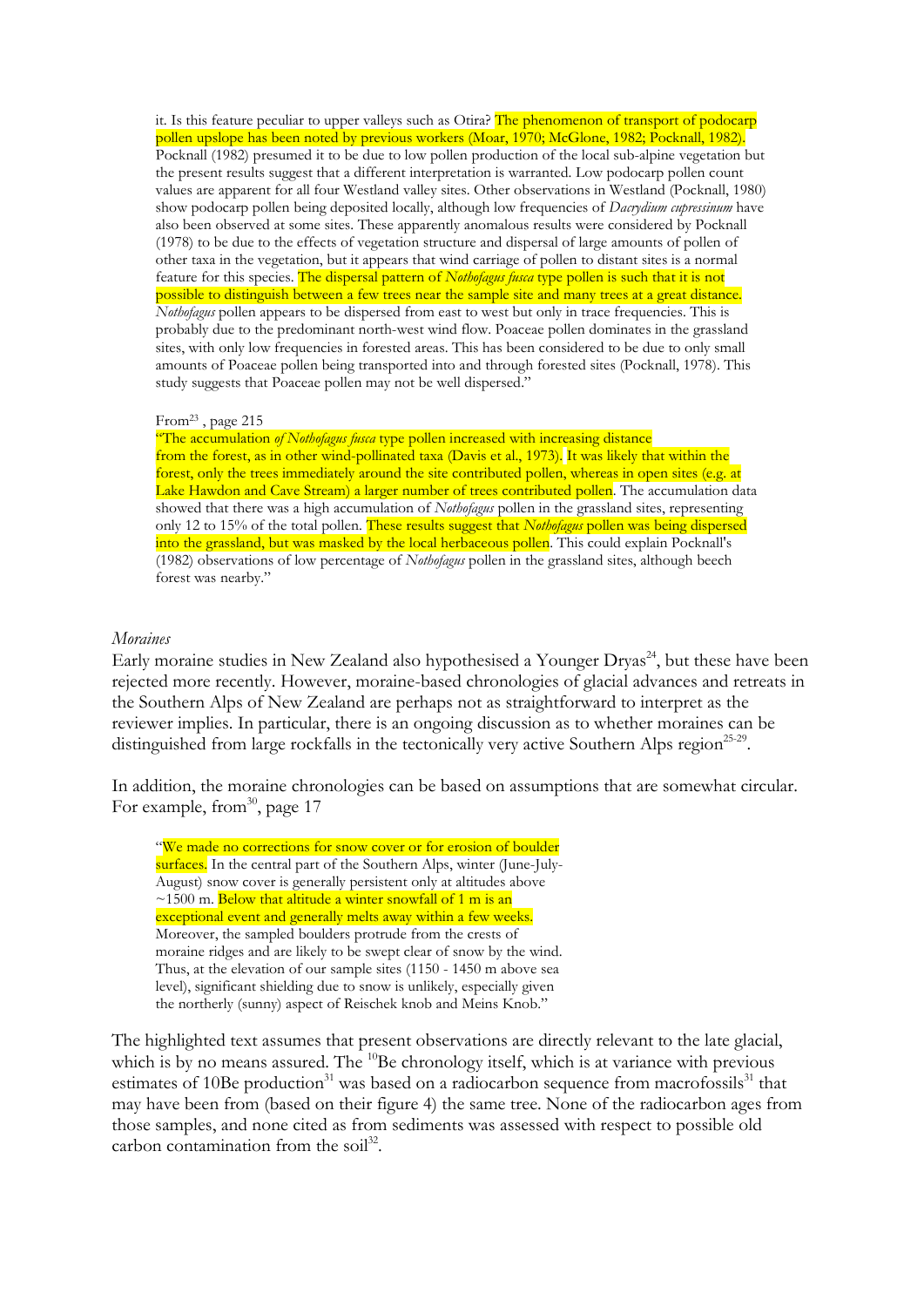it. Is this feature peculiar to upper valleys such as Otira? The phenomenon of transport of podocarp pollen upslope has been noted by previous workers (Moar, 1970; McGlone, 1982; Pocknall, 1982). Pocknall (1982) presumed it to be due to low pollen production of the local sub-alpine vegetation but the present results suggest that a different interpretation is warranted. Low podocarp pollen count values are apparent for all four Westland valley sites. Other observations in Westland (Pocknall, 1980) show podocarp pollen being deposited locally, although low frequencies of *Dacrydium cupressinum* have also been observed at some sites. These apparently anomalous results were considered by Pocknall (1978) to be due to the effects of vegetation structure and dispersal of large amounts of pollen of other taxa in the vegetation, but it appears that wind carriage of pollen to distant sites is a normal feature for this species. The dispersal pattern of Nothofagus fusca type pollen is such that it is not possible to distinguish between a few trees near the sample site and many trees at a great distance. Nothofagus pollen appears to be dispersed from east to west but only in trace frequencies. This is probably due to the predominant north-west wind flow. Poaceae pollen dominates in the grassland sites, with only low frequencies in forested areas. This has been considered to be due to only small amounts of Poaceae pollen being transported into and through forested sites (Pocknall, 1978). This study suggests that Poaceae pollen may not be well dispersed."

#### From<sup>23</sup>, page 215

"The accumulation of Nothofagus fusca type pollen increased with increasing distance from the forest, as in other wind-pollinated taxa (Davis et al., 1973). It was likely that within the forest, only the trees immediately around the site contributed pollen, whereas in open sites (e.g. at Lake Hawdon and Cave Stream) a larger number of trees contributed pollen. The accumulation data showed that there was a high accumulation of Nothofagus pollen in the grassland sites, representing only 12 to 15% of the total pollen. These results suggest that Nothofagus pollen was being dispersed into the grassland, but was masked by the local herbaceous pollen. This could explain Pocknall's (1982) observations of low percentage of Nothofagus pollen in the grassland sites, although beech forest was nearby."

#### **Moraines**

Early moraine studies in New Zealand also hypothesised a Younger  $Drvas<sup>24</sup>$ , but these have been rejected more recently. However, moraine-based chronologies of glacial advances and retreats in the Southern Alps of New Zealand are perhaps not as straightforward to interpret as the reviewer implies. In particular, there is an ongoing discussion as to whether moraines can be distinguished from large rockfalls in the tectonically very active Southern Alps region<sup>25-29</sup>.

In addition, the moraine chronologies can be based on assumptions that are somewhat circular. For example, from  $30$ , page 17

"We made no corrections for snow cover or for erosion of boulder surfaces. In the central part of the Southern Alps, winter (June-July-August) snow cover is generally persistent only at altitudes above  $\sim$ 1500 m. Below that altitude a winter snowfall of 1 m is an exceptional event and generally melts away within a few weeks. Moreover, the sampled boulders protrude from the crests of moraine ridges and are likely to be swept clear of snow by the wind. Thus, at the elevation of our sample sites (1150 - 1450 m above sea level), significant shielding due to snow is unlikely, especially given the northerly (sunny) aspect of Reischek knob and Meins Knob."

The highlighted text assumes that present observations are directly relevant to the late glacial, which is by no means assured. The <sup>10</sup>Be chronology itself, which is at variance with previous estimates of 10Be production<sup>31</sup> was based on a radiocarbon sequence from macrofossils<sup>31</sup> that may have been from (based on their figure 4) the same tree. None of the radiocarbon ages from those samples, and none cited as from sediments was assessed with respect to possible old carbon contamination from the soil<sup>32</sup>.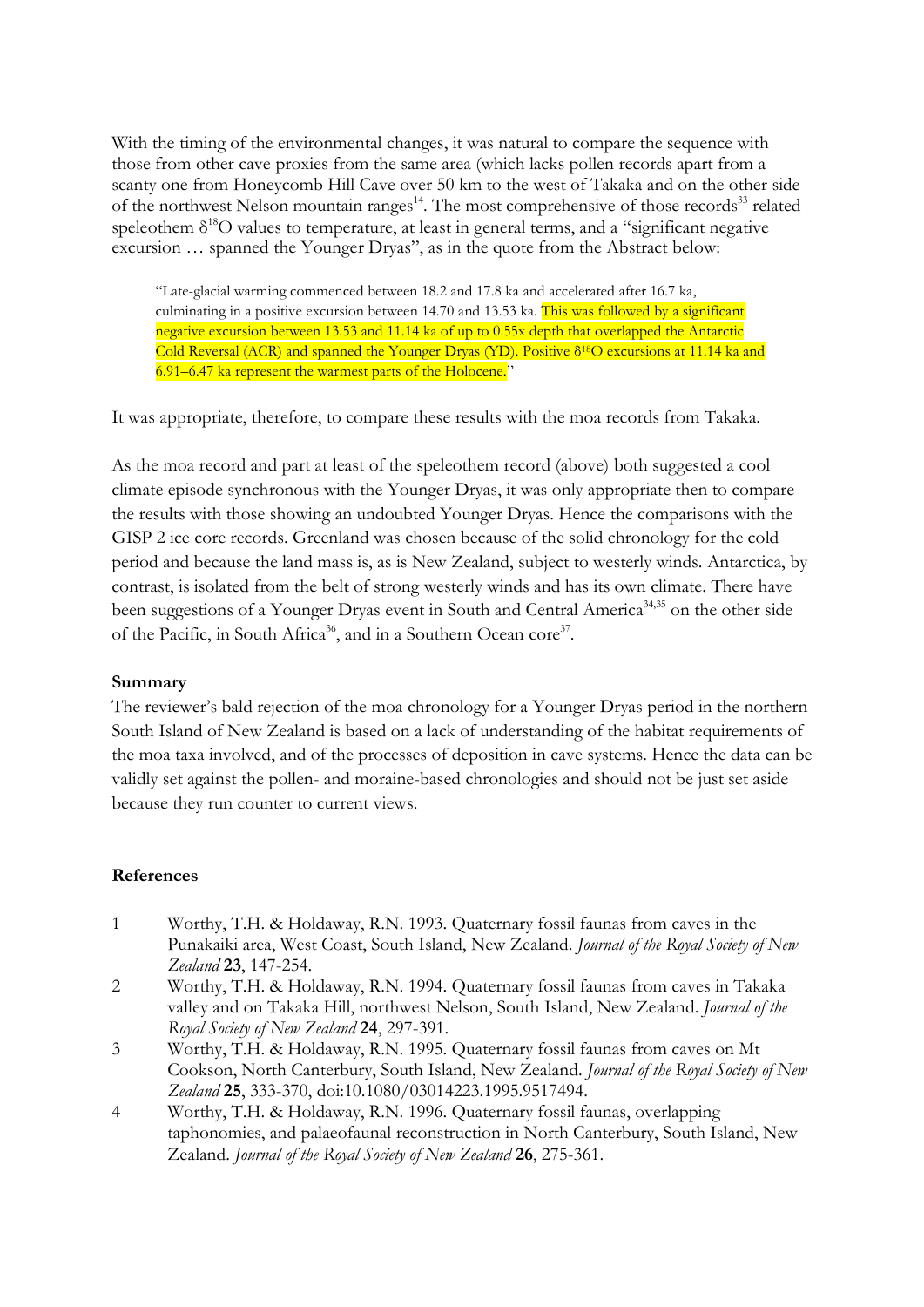With the timing of the environmental changes, it was natural to compare the sequence with those from other cave proxies from the same area (which lacks pollen records apart from a scanty one from Honeycomb Hill Cave over 50 km to the west of Takaka and on the other side of the northwest Nelson mountain ranges<sup>14</sup>. The most comprehensive of those records<sup>33</sup> related speleothem  $\delta^{18}$ O values to temperature, at least in general terms, and a "significant negative" excursion … spanned the Younger Dryas", as in the quote from the Abstract below:

"Late-glacial warming commenced between 18.2 and 17.8 ka and accelerated after 16.7 ka, culminating in a positive excursion between 14.70 and 13.53 ka. This was followed by a significant negative excursion between 13.53 and 11.14 ka of up to 0.55x depth that overlapped the Antarctic Cold Reversal (ACR) and spanned the Younger Dryas (YD). Positive δ18O excursions at 11.14 ka and 6.91–6.47 ka represent the warmest parts of the Holocene."

It was appropriate, therefore, to compare these results with the moa records from Takaka.

As the moa record and part at least of the speleothem record (above) both suggested a cool climate episode synchronous with the Younger Dryas, it was only appropriate then to compare the results with those showing an undoubted Younger Dryas. Hence the comparisons with the GISP 2 ice core records. Greenland was chosen because of the solid chronology for the cold period and because the land mass is, as is New Zealand, subject to westerly winds. Antarctica, by contrast, is isolated from the belt of strong westerly winds and has its own climate. There have been suggestions of a Younger Dryas event in South and Central America<sup>34,35</sup> on the other side of the Pacific, in South Africa<sup>36</sup>, and in a Southern Ocean core<sup>37</sup>.

## Summary

The reviewer's bald rejection of the moa chronology for a Younger Dryas period in the northern South Island of New Zealand is based on a lack of understanding of the habitat requirements of the moa taxa involved, and of the processes of deposition in cave systems. Hence the data can be validly set against the pollen- and moraine-based chronologies and should not be just set aside because they run counter to current views.

# References

- 1 Worthy, T.H. & Holdaway, R.N. 1993. Quaternary fossil faunas from caves in the Punakaiki area, West Coast, South Island, New Zealand. Journal of the Royal Society of New Zealand 23, 147-254.
- 2 Worthy, T.H. & Holdaway, R.N. 1994. Quaternary fossil faunas from caves in Takaka valley and on Takaka Hill, northwest Nelson, South Island, New Zealand. Journal of the Royal Society of New Zealand 24, 297-391.
- 3 Worthy, T.H. & Holdaway, R.N. 1995. Quaternary fossil faunas from caves on Mt Cookson, North Canterbury, South Island, New Zealand. Journal of the Royal Society of New Zealand 25, 333-370, doi:10.1080/03014223.1995.9517494.
- 4 Worthy, T.H. & Holdaway, R.N. 1996. Quaternary fossil faunas, overlapping taphonomies, and palaeofaunal reconstruction in North Canterbury, South Island, New Zealand. Journal of the Royal Society of New Zealand 26, 275-361.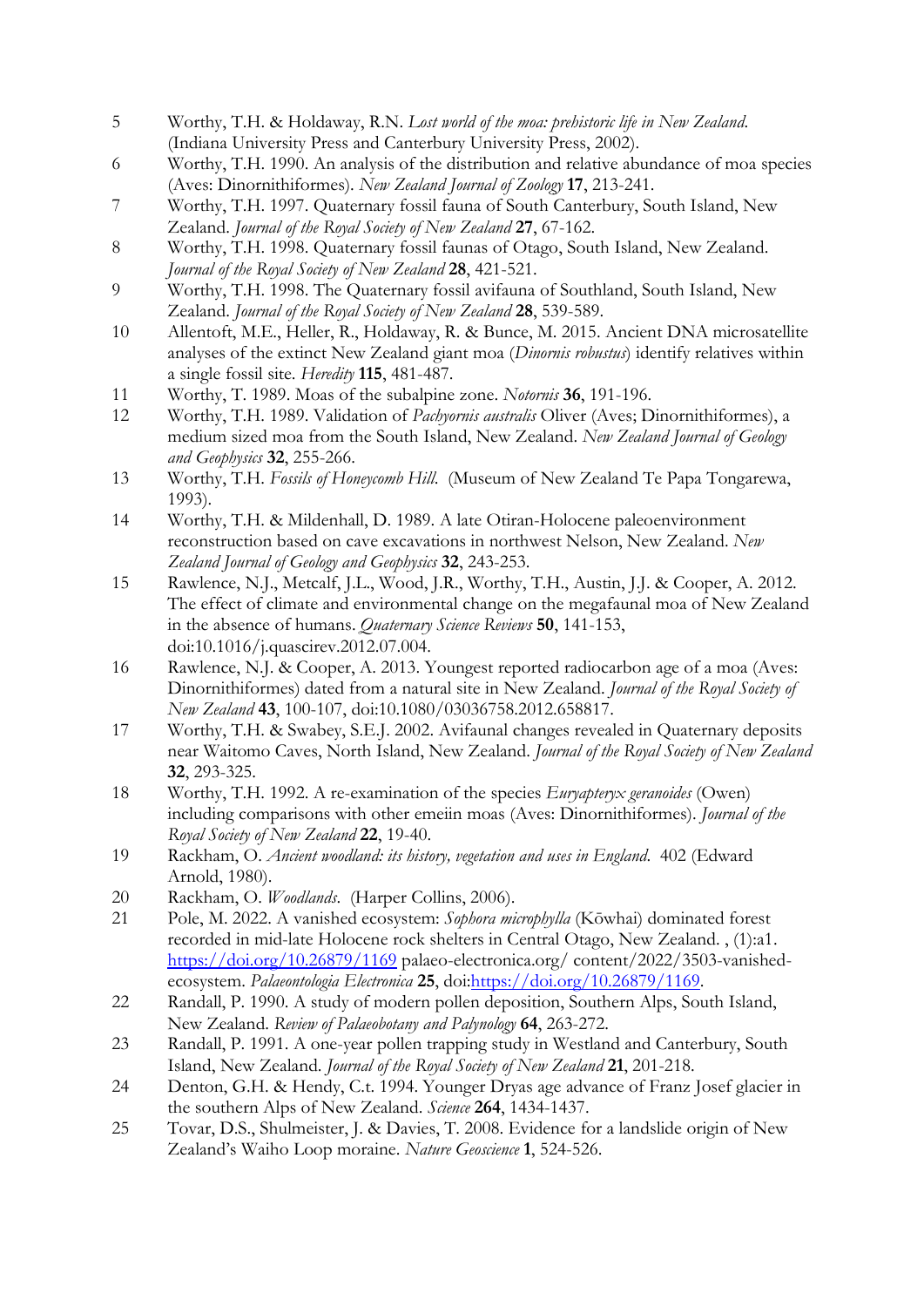- 5 Worthy, T.H. & Holdaway, R.N. Lost world of the moa: prehistoric life in New Zealand. (Indiana University Press and Canterbury University Press, 2002).
- 6 Worthy, T.H. 1990. An analysis of the distribution and relative abundance of moa species (Aves: Dinornithiformes). New Zealand Journal of Zoology 17, 213-241.
- 7 Worthy, T.H. 1997. Quaternary fossil fauna of South Canterbury, South Island, New Zealand. Journal of the Royal Society of New Zealand 27, 67-162.
- 8 Worthy, T.H. 1998. Quaternary fossil faunas of Otago, South Island, New Zealand. Journal of the Royal Society of New Zealand 28, 421-521.
- 9 Worthy, T.H. 1998. The Quaternary fossil avifauna of Southland, South Island, New Zealand. Journal of the Royal Society of New Zealand 28, 539-589.
- 10 Allentoft, M.E., Heller, R., Holdaway, R. & Bunce, M. 2015. Ancient DNA microsatellite analyses of the extinct New Zealand giant moa (Dinornis robustus) identify relatives within a single fossil site. Heredity 115, 481-487.
- 11 Worthy, T. 1989. Moas of the subalpine zone. Notornis 36, 191-196.
- 12 Worthy, T.H. 1989. Validation of Pachyornis australis Oliver (Aves; Dinornithiformes), a medium sized moa from the South Island, New Zealand. New Zealand Journal of Geology and Geophysics 32, 255-266.
- 13 Worthy, T.H. Fossils of Honeycomb Hill. (Museum of New Zealand Te Papa Tongarewa, 1993).
- 14 Worthy, T.H. & Mildenhall, D. 1989. A late Otiran-Holocene paleoenvironment reconstruction based on cave excavations in northwest Nelson, New Zealand. New Zealand Journal of Geology and Geophysics 32, 243-253.
- 15 Rawlence, N.J., Metcalf, J.L., Wood, J.R., Worthy, T.H., Austin, J.J. & Cooper, A. 2012. The effect of climate and environmental change on the megafaunal moa of New Zealand in the absence of humans. Quaternary Science Reviews 50, 141-153, doi:10.1016/j.quascirev.2012.07.004.
- 16 Rawlence, N.J. & Cooper, A. 2013. Youngest reported radiocarbon age of a moa (Aves: Dinornithiformes) dated from a natural site in New Zealand. Journal of the Royal Society of New Zealand 43, 100-107, doi:10.1080/03036758.2012.658817.
- 17 Worthy, T.H. & Swabey, S.E.J. 2002. Avifaunal changes revealed in Quaternary deposits near Waitomo Caves, North Island, New Zealand. Journal of the Royal Society of New Zealand 32, 293-325.
- 18 Worthy, T.H. 1992. A re-examination of the species *Euryapteryx geranoides* (Owen) including comparisons with other emeiin moas (Aves: Dinornithiformes). Journal of the Royal Society of New Zealand 22, 19-40.
- 19 Rackham, O. Ancient woodland: its history, vegetation and uses in England. 402 (Edward Arnold, 1980).
- 20 Rackham, O. Woodlands. (Harper Collins, 2006).
- 21 Pole, M. 2022. A vanished ecosystem: Sophora microphylla (Kōwhai) dominated forest recorded in mid-late Holocene rock shelters in Central Otago, New Zealand. , (1):a1. https://doi.org/10.26879/1169 palaeo-electronica.org/ content/2022/3503-vanishedecosystem. Palaeontologia Electronica 25, doi:https://doi.org/10.26879/1169.
- 22 Randall, P. 1990. A study of modern pollen deposition, Southern Alps, South Island, New Zealand. Review of Palaeobotany and Palynology 64, 263-272.
- 23 Randall, P. 1991. A one-year pollen trapping study in Westland and Canterbury, South Island, New Zealand. Journal of the Royal Society of New Zealand 21, 201-218.
- 24 Denton, G.H. & Hendy, C.t. 1994. Younger Dryas age advance of Franz Josef glacier in the southern Alps of New Zealand. Science 264, 1434-1437.
- 25 Tovar, D.S., Shulmeister, J. & Davies, T. 2008. Evidence for a landslide origin of New Zealand's Waiho Loop moraine. Nature Geoscience 1, 524-526.